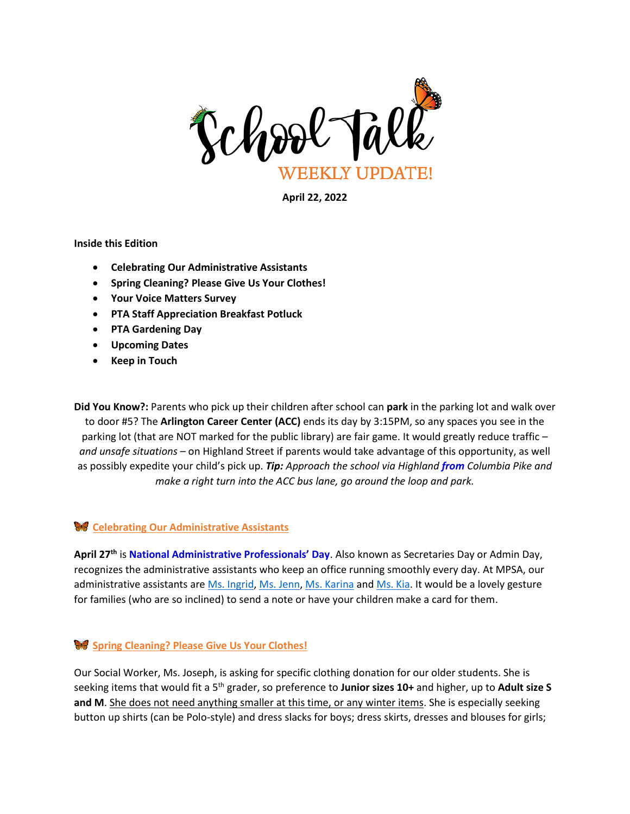

**April 22, 2022**

#### **Inside this Edition**

- **Celebrating Our Administrative Assistants**
- **Spring Cleaning? Please Give Us Your Clothes!**
- **Your Voice Matters Survey**
- **PTA Staff Appreciation Breakfast Potluck**
- **PTA Gardening Day**
- **Upcoming Dates**
- **Keep in Touch**

**Did You Know?:** Parents who pick up their children after school can **park** in the parking lot and walk over to door #5? The **Arlington Career Center (ACC)** ends its day by 3:15PM, so any spaces you see in the parking lot (that are NOT marked for the public library) are fair game. It would greatly reduce traffic – *and unsafe situations* – on Highland Street if parents would take advantage of this opportunity, as well as possibly expedite your child's pick up. *Tip: Approach the school via Highland from Columbia Pike and make a right turn into the ACC bus lane, go around the loop and park.*

## **Celebrating Our Administrative Assistants**

**April 27th** is **National Administrative Professionals' Day**. Also known as Secretaries Day or Admin Day, recognizes the administrative assistants who keep an office running smoothly every day. At MPSA, our administrative assistants are [Ms. Ingrid,](mailto:ingrid.basurto2@apsva.us) [Ms. Jenn,](mailto:jennifer.gonzaga@apsva.us) [Ms. Karina](mailto:karina.valdez@apsva.us) and [Ms. Kia.](mailto:kia.stevensonhaynes@apsva.us) It would be a lovely gesture for families (who are so inclined) to send a note or have your children make a card for them.

#### **Spring Cleaning? Please Give Us Your Clothes!**

Our Social Worker, Ms. Joseph, is asking for specific clothing donation for our older students. She is seeking items that would fit a 5 th grader, so preference to **Junior sizes 10+** and higher, up to **Adult size S and M**. She does not need anything smaller at this time, or any winter items. She is especially seeking button up shirts (can be Polo-style) and dress slacks for boys; dress skirts, dresses and blouses for girls;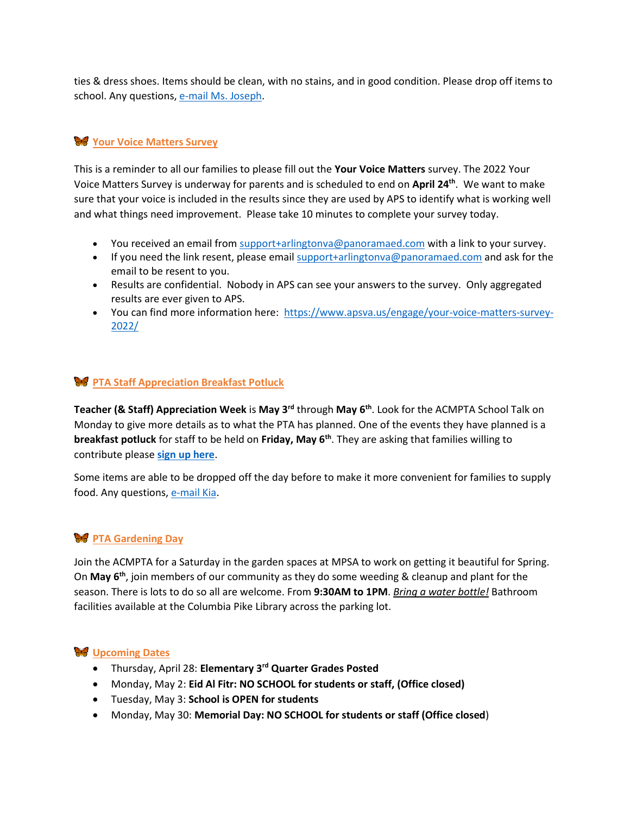ties & dress shoes. Items should be clean, with no stains, and in good condition. Please drop off items to school. Any questions[, e-mail Ms. Joseph.](mailto:shannon.joseph@apsva.us)

## **Your Voice Matters Survey**

This is a reminder to all our families to please fill out the **Your Voice Matters** survey. The 2022 Your Voice Matters Survey is underway for parents and is scheduled to end on **April 24th** . We want to make sure that your voice is included in the results since they are used by APS to identify what is working well and what things need improvement. Please take 10 minutes to complete your survey today.

- You received an email from [support+arlingtonva@panoramaed.com](mailto:support+arlingtonva@panoramaed.com) with a link to your survey.
- If you need the link resent, please emai[l support+arlingtonva@panoramaed.com](mailto:support+arlingtonva@panoramaed.com) and ask for the email to be resent to you.
- Results are confidential. Nobody in APS can see your answers to the survey. Only aggregated results are ever given to APS.
- You can find more information here: [https://www.apsva.us/engage/your-voice-matters-survey-](http://track.spe.schoolmessenger.com/f/a/xHywbQ0WYIIEcTqWjZwLPQ~~/AAAAAQA~/RgRkLIhKP0Q7aHR0cHM6Ly93d3cuYXBzdmEudXMvZW5nYWdlL3lvdXItdm9pY2UtbWF0dGVycy1zdXJ2ZXktMjAyMi9XB3NjaG9vbG1CCmJLylRLYiax2xBSHGtpYS5zdGV2ZW5zb25oYXluZXNAYXBzdmEudXNYBAAAAAE~)[2022/](http://track.spe.schoolmessenger.com/f/a/xHywbQ0WYIIEcTqWjZwLPQ~~/AAAAAQA~/RgRkLIhKP0Q7aHR0cHM6Ly93d3cuYXBzdmEudXMvZW5nYWdlL3lvdXItdm9pY2UtbWF0dGVycy1zdXJ2ZXktMjAyMi9XB3NjaG9vbG1CCmJLylRLYiax2xBSHGtpYS5zdGV2ZW5zb25oYXluZXNAYXBzdmEudXNYBAAAAAE~)

## **PTA Staff Appreciation Breakfast Potluck**

**Teacher (& Staff) Appreciation Week** is **May 3rd** through **May 6th**. Look for the ACMPTA School Talk on Monday to give more details as to what the PTA has planned. One of the events they have planned is a **breakfast potluck** for staff to be held on **Friday, May 6th**. They are asking that families willing to contribute please **[sign up here](https://tinyurl.com/dkbf5ypv)**.

Some items are able to be dropped off the day before to make it more convenient for families to supply food. Any questions, [e-mail Kia.](mailto:kia.stevensonhaynes@apsva.us)

# **W** PTA Gardening Day

Join the ACMPTA for a Saturday in the garden spaces at MPSA to work on getting it beautiful for Spring. On **May 6th** , join members of our community as they do some weeding & cleanup and plant for the season. There is lots to do so all are welcome. From **9:30AM to 1PM**. *Bring a water bottle!* Bathroom facilities available at the Columbia Pike Library across the parking lot.

## **W** Upcoming Dates

- Thursday, April 28: **Elementary 3rd Quarter Grades Posted**
- Monday, May 2: **Eid Al Fitr: NO SCHOOL for students or staff, (Office closed)**
- Tuesday, May 3: **School is OPEN for students**
- Monday, May 30: **Memorial Day: NO SCHOOL for students or staff (Office closed**)